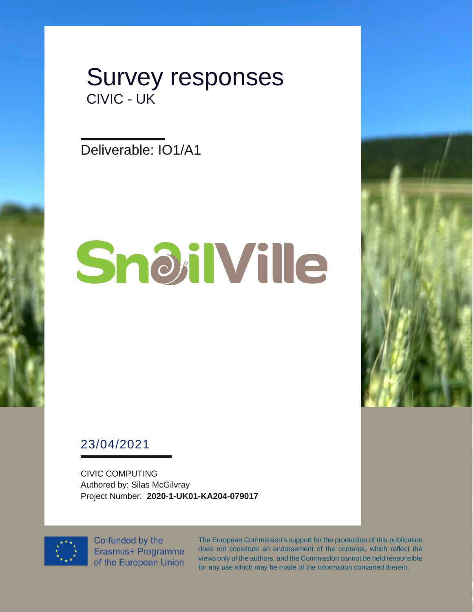

Deliverable: IO1/A1

# SnoilVille



## 23/04/2021

CIVIC COMPUTING Authored by: Silas McGilvray Project Number: **2020-1-UK01-KA204-079017**



Co-funded by the Erasmus+ Programme of the European Union The European Commission's support for the production of this publication does not constitute an endorsement of the contents, which reflect the views only of the authors, and the Commission cannot be held responsible for any use which may be made of the information contained therein.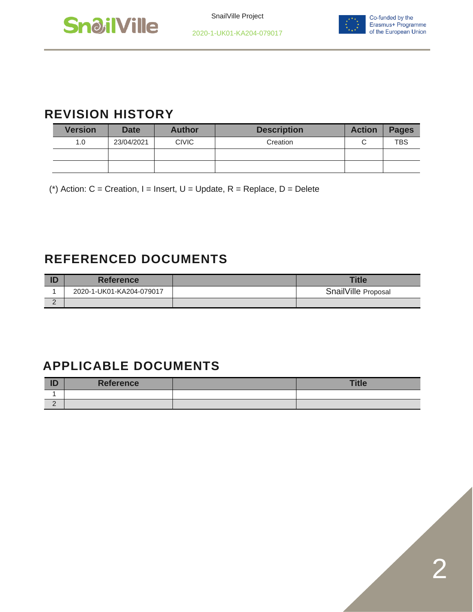



## **REVISION HISTORY**

| <b>Version</b> | <b>Date</b> | <b>Author</b> | <b>Description</b> | <b>Action</b> | <b>Pages</b> |
|----------------|-------------|---------------|--------------------|---------------|--------------|
| 1.0            | 23/04/2021  | <b>CIVIC</b>  | Creation           |               | <b>TBS</b>   |
|                |             |               |                    |               |              |
|                |             |               |                    |               |              |

(\*) Action:  $C =$  Creation, I = Insert, U = Update, R = Replace, D = Delete

## **REFERENCED DOCUMENTS**

|   | <b>Reference</b>         | <b>Title</b>        |
|---|--------------------------|---------------------|
|   | 2020-1-UK01-KA204-079017 | SnailVille Proposal |
| - |                          |                     |

## **APPLICABLE DOCUMENTS**

| ID       | <b>Reference</b> | <b>Title</b> |
|----------|------------------|--------------|
|          |                  |              |
| <u>_</u> |                  |              |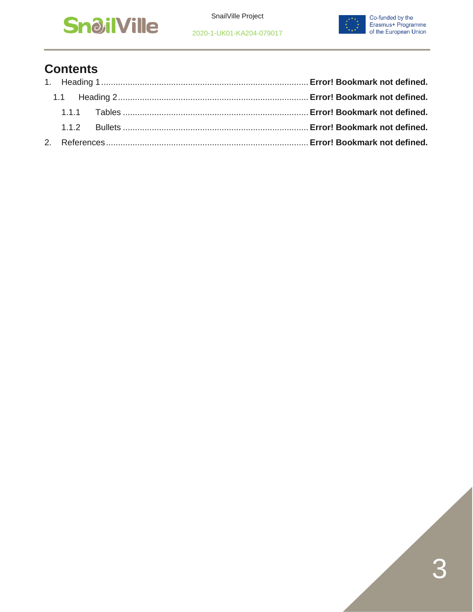





## **Contents**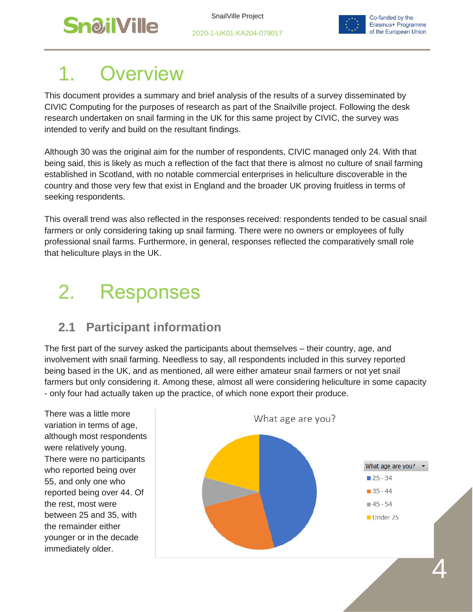

2020-1-UK01-KA204-079017



.<br>4

# **Overview**

This document provides a summary and brief analysis of the results of a survey disseminated by CIVIC Computing for the purposes of research as part of the Snailville project. Following the desk research undertaken on snail farming in the UK for this same project by CIVIC, the survey was intended to verify and build on the resultant findings.

Although 30 was the original aim for the number of respondents, CIVIC managed only 24. With that being said, this is likely as much a reflection of the fact that there is almost no culture of snail farming established in Scotland, with no notable commercial enterprises in heliculture discoverable in the country and those very few that exist in England and the broader UK proving fruitless in terms of seeking respondents.

This overall trend was also reflected in the responses received: respondents tended to be casual snail farmers or only considering taking up snail farming. There were no owners or employees of fully professional snail farms. Furthermore, in general, responses reflected the comparatively small role that heliculture plays in the UK.

# 2. Responses

## **2.1 Participant information**

The first part of the survey asked the participants about themselves – their country, age, and involvement with snail farming. Needless to say, all respondents included in this survey reported being based in the UK, and as mentioned, all were either amateur snail farmers or not yet snail farmers but only considering it. Among these, almost all were considering heliculture in some capacity - only four had actually taken up the practice, of which none export their produce.

There was a little more variation in terms of age, although most respondents were relatively young. There were no participants who reported being over 55, and only one who reported being over 44. Of the rest, most were between 25 and 35, with the remainder either younger or in the decade immediately older.

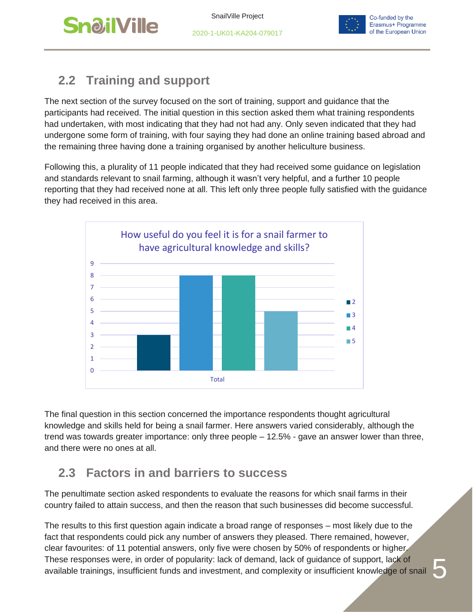

2020-1-UK01-KA204-079017



# **2.2 Training and support**

The next section of the survey focused on the sort of training, support and guidance that the participants had received. The initial question in this section asked them what training respondents had undertaken, with most indicating that they had not had any. Only seven indicated that they had undergone some form of training, with four saying they had done an online training based abroad and the remaining three having done a training organised by another heliculture business.

Following this, a plurality of 11 people indicated that they had received some guidance on legislation and standards relevant to snail farming, although it wasn't very helpful, and a further 10 people reporting that they had received none at all. This left only three people fully satisfied with the guidance they had received in this area.



The final question in this section concerned the importance respondents thought agricultural knowledge and skills held for being a snail farmer. Here answers varied considerably, although the trend was towards greater importance: only three people – 12.5% - gave an answer lower than three, and there were no ones at all.

## **2.3 Factors in and barriers to success**

The penultimate section asked respondents to evaluate the reasons for which snail farms in their country failed to attain success, and then the reason that such businesses did become successful.

The results to this first question again indicate a broad range of responses – most likely due to the fact that respondents could pick any number of answers they pleased. There remained, however, clear favourites: of 11 potential answers, only five were chosen by 50% of respondents or higher. These responses were, in order of popularity: lack of demand, lack of guidance of support, lack of available trainings, insufficient funds and investment, and complexity or insufficient knowledge of snail

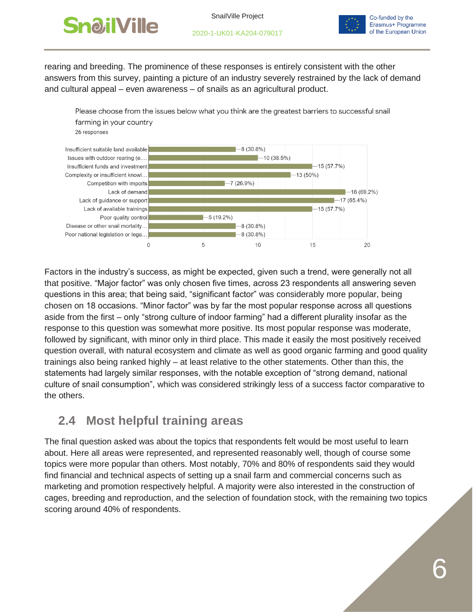

SnailVille Project



Co-funded by the Erasmus+ Programme of the European Union

rearing and breeding. The prominence of these responses is entirely consistent with the other answers from this survey, painting a picture of an industry severely restrained by the lack of demand and cultural appeal – even awareness – of snails as an agricultural product.



Factors in the industry's success, as might be expected, given such a trend, were generally not all that positive. "Major factor" was only chosen five times, across 23 respondents all answering seven questions in this area; that being said, "significant factor" was considerably more popular, being chosen on 18 occasions. "Minor factor" was by far the most popular response across all questions aside from the first – only "strong culture of indoor farming" had a different plurality insofar as the response to this question was somewhat more positive. Its most popular response was moderate, followed by significant, with minor only in third place. This made it easily the most positively received question overall, with natural ecosystem and climate as well as good organic farming and good quality trainings also being ranked highly – at least relative to the other statements. Other than this, the statements had largely similar responses, with the notable exception of "strong demand, national culture of snail consumption", which was considered strikingly less of a success factor comparative to the others.

## **2.4 Most helpful training areas**

The final question asked was about the topics that respondents felt would be most useful to learn about. Here all areas were represented, and represented reasonably well, though of course some topics were more popular than others. Most notably, 70% and 80% of respondents said they would find financial and technical aspects of setting up a snail farm and commercial concerns such as marketing and promotion respectively helpful. A majority were also interested in the construction of cages, breeding and reproduction, and the selection of foundation stock, with the remaining two topics scoring around 40% of respondents.